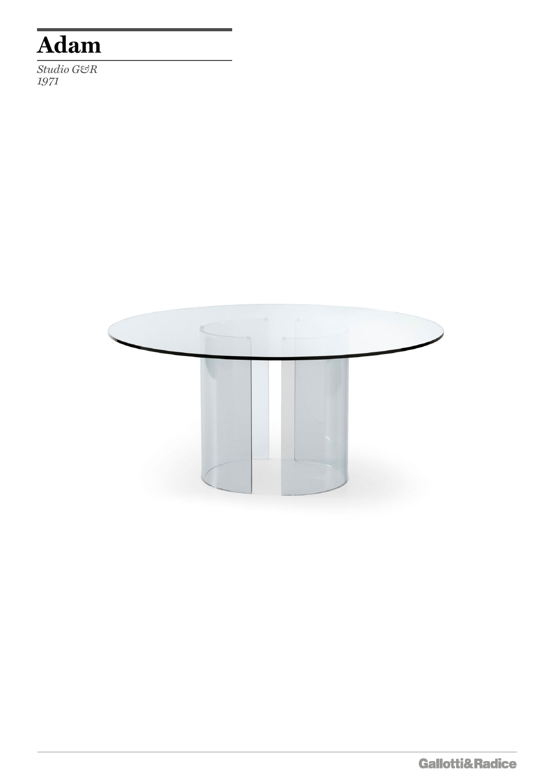## **Adam**

*Studio G&R 1971*

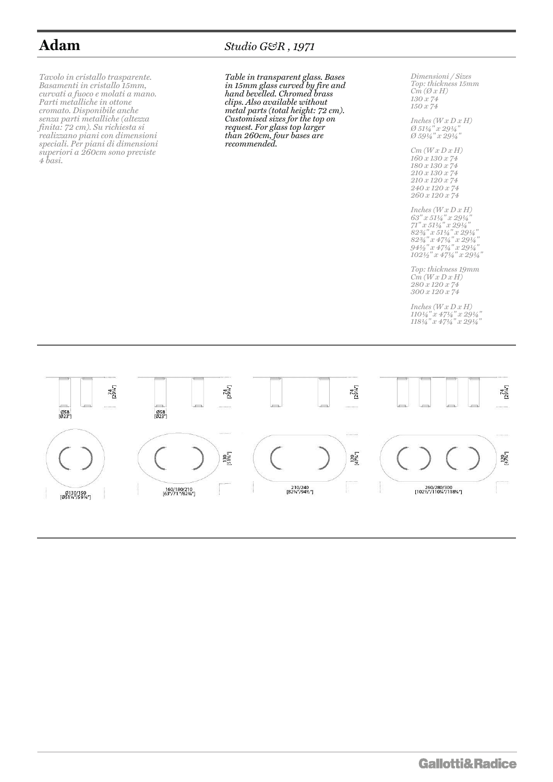*Tavolo in cristallo trasparente. Basamenti in cristallo 15mm, curvati a fuoco e molati a mano. Parti metalliche in ottone cromato. Disponibile anche senza parti metalliche (altezza finita: 72 cm). Su richiesta si realizzano piani con dimensioni speciali. Per piani di dimensioni superiori a 260cm sono previste 4 basi.*

## **Adam** *Studio G&R, 1971*

*Table in transparent glass. Bases in 15mm glass curved by fire and hand bevelled. Chromed brass clips. Also available without metal parts (total height: 72 cm). Customised sizes for the top on request. For glass top larger than 260cm, four bases are recommended.*

*Dimensioni / Sizes Top: thickness 15mm Cm (Ø x H) 130 x 74 150 x 74*

*Inches (W x D x H) Ø 51¼" x 29¼" Ø 59¼" x 29¼"*

*Cm (W x D x H) 160 x 130 x 74 180 x 130 x 74 210 x 130 x 74 210 x 120 x 74 240 x 120 x 74 260 x 120 x 74*

*Inches (W x D x H) 63" x 51¼" x 29¼" 71" x 51¼" x 29¼" 82¾" x 51¼" x 29¼" 82¾" x 47¼" x 29¼" 94½" x 47¼" x 29¼" 102½" x 47¼" x 29¼"*

*Top: thickness 19mm Cm (W x D x H) 280 x 120 x 74 300 x 120 x 74*

*Inches (W x D x H) 110¼" x 47¼" x 29¼" 118¼" x 47¼" x 29¼"*

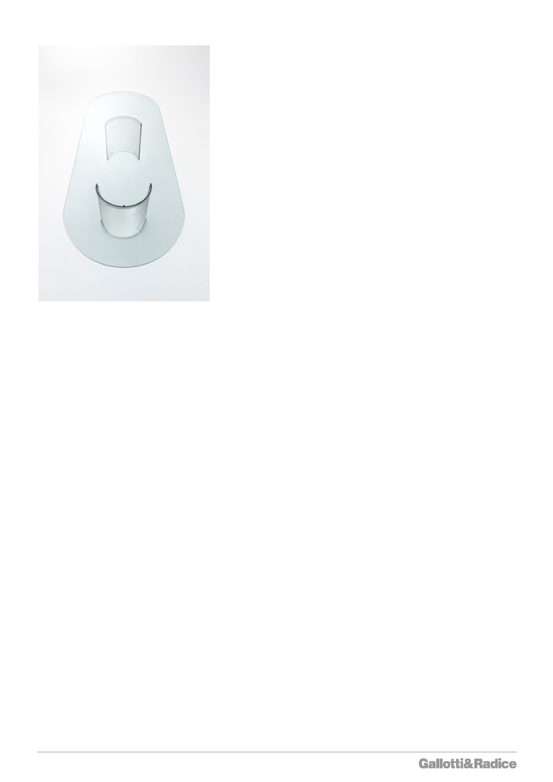